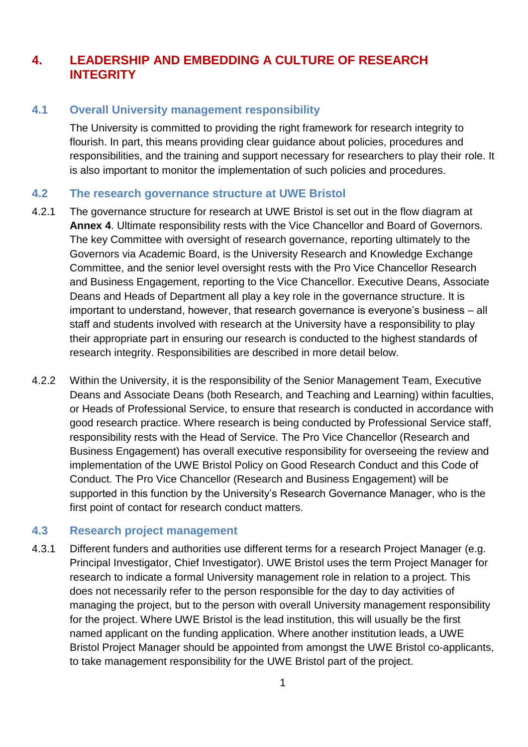## **4. LEADERSHIP AND EMBEDDING A CULTURE OF RESEARCH INTEGRITY**

## **4.1 Overall University management responsibility**

The University is committed to providing the right framework for research integrity to flourish. In part, this means providing clear guidance about policies, procedures and responsibilities, and the training and support necessary for researchers to play their role. It is also important to monitor the implementation of such policies and procedures.

## **4.2 The research governance structure at UWE Bristol**

- 4.2.1 The governance structure for research at UWE Bristol is set out in the flow diagram at **Annex 4**. Ultimate responsibility rests with the Vice Chancellor and Board of Governors. The key Committee with oversight of research governance, reporting ultimately to the Governors via Academic Board, is the University Research and Knowledge Exchange Committee, and the senior level oversight rests with the Pro Vice Chancellor Research and Business Engagement, reporting to the Vice Chancellor. Executive Deans, Associate Deans and Heads of Department all play a key role in the governance structure. It is important to understand, however, that research governance is everyone's business – all staff and students involved with research at the University have a responsibility to play their appropriate part in ensuring our research is conducted to the highest standards of research integrity. Responsibilities are described in more detail below.
- 4.2.2 Within the University, it is the responsibility of the Senior Management Team, Executive Deans and Associate Deans (both Research, and Teaching and Learning) within faculties, or Heads of Professional Service, to ensure that research is conducted in accordance with good research practice. Where research is being conducted by Professional Service staff, responsibility rests with the Head of Service. The Pro Vice Chancellor (Research and Business Engagement) has overall executive responsibility for overseeing the review and implementation of the UWE Bristol Policy on Good Research Conduct and this Code of Conduct. The Pro Vice Chancellor (Research and Business Engagement) will be supported in this function by the University's Research Governance Manager, who is the first point of contact for research conduct matters.

## **4.3 Research project management**

4.3.1 Different funders and authorities use different terms for a research Project Manager (e.g. Principal Investigator, Chief Investigator). UWE Bristol uses the term Project Manager for research to indicate a formal University management role in relation to a project. This does not necessarily refer to the person responsible for the day to day activities of managing the project, but to the person with overall University management responsibility for the project. Where UWE Bristol is the lead institution, this will usually be the first named applicant on the funding application. Where another institution leads, a UWE Bristol Project Manager should be appointed from amongst the UWE Bristol co-applicants, to take management responsibility for the UWE Bristol part of the project.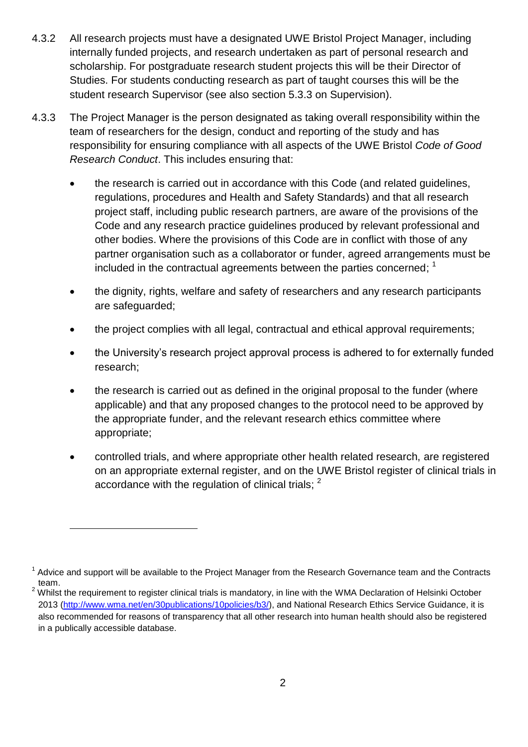- 4.3.2 All research projects must have a designated UWE Bristol Project Manager, including internally funded projects, and research undertaken as part of personal research and scholarship. For postgraduate research student projects this will be their Director of Studies. For students conducting research as part of taught courses this will be the student research Supervisor (see also section 5.3.3 on Supervision).
- 4.3.3 The Project Manager is the person designated as taking overall responsibility within the team of researchers for the design, conduct and reporting of the study and has responsibility for ensuring compliance with all aspects of the UWE Bristol *Code of Good Research Conduct*. This includes ensuring that:
	- the research is carried out in accordance with this Code (and related guidelines, regulations, procedures and Health and Safety Standards) and that all research project staff, including public research partners, are aware of the provisions of the Code and any research practice guidelines produced by relevant professional and other bodies. Where the provisions of this Code are in conflict with those of any partner organisation such as a collaborator or funder, agreed arrangements must be included in the contractual agreements between the parties concerned; <sup>1</sup>
	- the dignity, rights, welfare and safety of researchers and any research participants are safeguarded;
	- the project complies with all legal, contractual and ethical approval requirements;
	- the University's research project approval process is adhered to for externally funded research;
	- the research is carried out as defined in the original proposal to the funder (where applicable) and that any proposed changes to the protocol need to be approved by the appropriate funder, and the relevant research ethics committee where appropriate;
	- controlled trials, and where appropriate other health related research, are registered on an appropriate external register, and on the UWE Bristol register of clinical trials in accordance with the regulation of clinical trials;  $^2$

l

<sup>&</sup>lt;sup>1</sup> Advice and support will be available to the Project Manager from the Research Governance team and the Contracts team.

<sup>&</sup>lt;sup>2</sup> Whilst the requirement to register clinical trials is mandatory, in line with the WMA Declaration of Helsinki October 2013 [\(http://www.wma.net/en/30publications/10policies/b3/\)](http://www.wma.net/en/30publications/10policies/b3/), and National Research Ethics Service Guidance, it is also recommended for reasons of transparency that all other research into human health should also be registered in a publically accessible database.